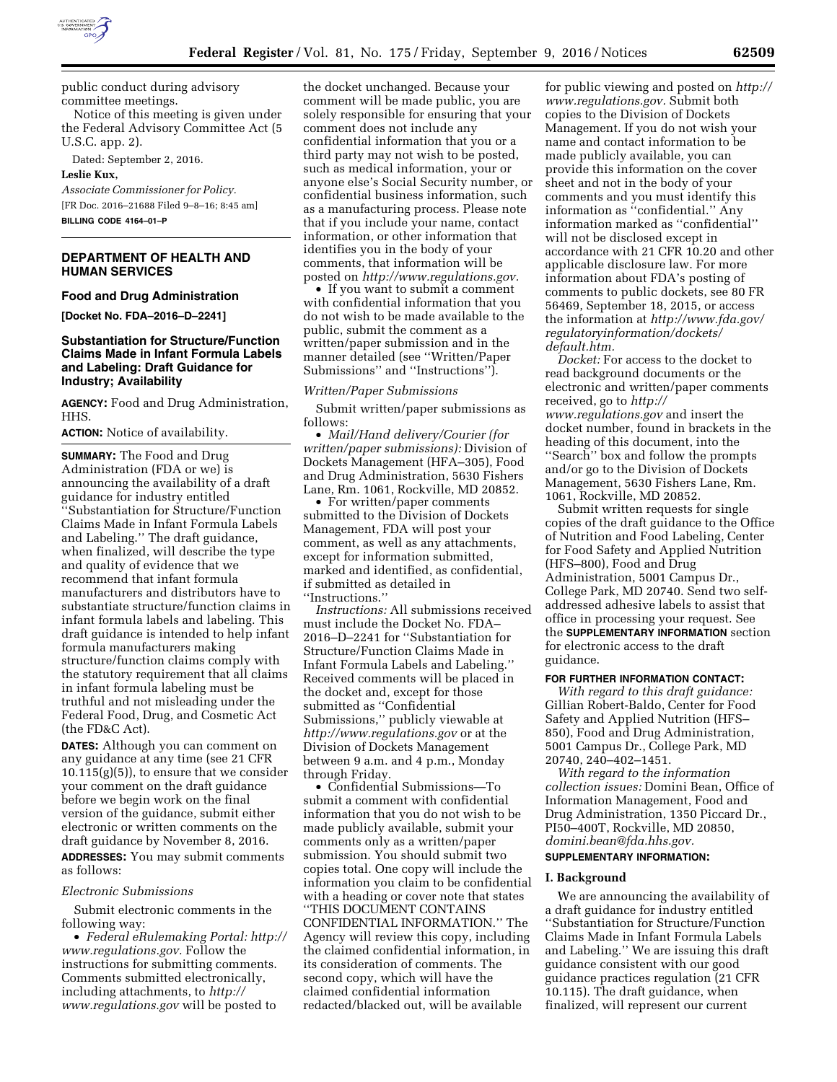

public conduct during advisory committee meetings.

Notice of this meeting is given under the Federal Advisory Committee Act (5 U.S.C. app. 2).

Dated: September 2, 2016.

**Leslie Kux,** 

*Associate Commissioner for Policy.*  [FR Doc. 2016–21688 Filed 9–8–16; 8:45 am] **BILLING CODE 4164–01–P** 

# **DEPARTMENT OF HEALTH AND HUMAN SERVICES**

#### **Food and Drug Administration**

**[Docket No. FDA–2016–D–2241]** 

# **Substantiation for Structure/Function Claims Made in Infant Formula Labels and Labeling: Draft Guidance for Industry; Availability**

**AGENCY:** Food and Drug Administration, HHS.

**ACTION:** Notice of availability.

**SUMMARY:** The Food and Drug Administration (FDA or we) is announcing the availability of a draft guidance for industry entitled ''Substantiation for Structure/Function Claims Made in Infant Formula Labels and Labeling.'' The draft guidance, when finalized, will describe the type and quality of evidence that we recommend that infant formula manufacturers and distributors have to substantiate structure/function claims in infant formula labels and labeling. This draft guidance is intended to help infant formula manufacturers making structure/function claims comply with the statutory requirement that all claims in infant formula labeling must be truthful and not misleading under the Federal Food, Drug, and Cosmetic Act (the FD&C Act).

**DATES:** Although you can comment on any guidance at any time (see 21 CFR 10.115(g)(5)), to ensure that we consider your comment on the draft guidance before we begin work on the final version of the guidance, submit either electronic or written comments on the draft guidance by November 8, 2016. **ADDRESSES:** You may submit comments as follows:

#### *Electronic Submissions*

Submit electronic comments in the following way:

• *Federal eRulemaking Portal: [http://](http://www.regulations.gov)  [www.regulations.gov.](http://www.regulations.gov)* Follow the instructions for submitting comments. Comments submitted electronically, including attachments, to *[http://](http://www.regulations.gov) [www.regulations.gov](http://www.regulations.gov)* will be posted to

the docket unchanged. Because your comment will be made public, you are solely responsible for ensuring that your comment does not include any confidential information that you or a third party may not wish to be posted, such as medical information, your or anyone else's Social Security number, or confidential business information, such as a manufacturing process. Please note that if you include your name, contact information, or other information that identifies you in the body of your comments, that information will be posted on *[http://www.regulations.gov.](http://www.regulations.gov)* 

• If you want to submit a comment with confidential information that you do not wish to be made available to the public, submit the comment as a written/paper submission and in the manner detailed (see ''Written/Paper Submissions'' and ''Instructions'').

#### *Written/Paper Submissions*

Submit written/paper submissions as follows:

• *Mail/Hand delivery/Courier (for written/paper submissions):* Division of Dockets Management (HFA–305), Food and Drug Administration, 5630 Fishers Lane, Rm. 1061, Rockville, MD 20852.

• For written/paper comments submitted to the Division of Dockets Management, FDA will post your comment, as well as any attachments, except for information submitted, marked and identified, as confidential, if submitted as detailed in ''Instructions.''

*Instructions:* All submissions received must include the Docket No. FDA– 2016–D–2241 for ''Substantiation for Structure/Function Claims Made in Infant Formula Labels and Labeling.'' Received comments will be placed in the docket and, except for those submitted as ''Confidential Submissions,'' publicly viewable at *<http://www.regulations.gov>* or at the Division of Dockets Management between 9 a.m. and 4 p.m., Monday through Friday.

• Confidential Submissions—To submit a comment with confidential information that you do not wish to be made publicly available, submit your comments only as a written/paper submission. You should submit two copies total. One copy will include the information you claim to be confidential with a heading or cover note that states ''THIS DOCUMENT CONTAINS CONFIDENTIAL INFORMATION.'' The Agency will review this copy, including the claimed confidential information, in its consideration of comments. The second copy, which will have the claimed confidential information redacted/blacked out, will be available

for public viewing and posted on *[http://](http://www.regulations.gov)  [www.regulations.gov.](http://www.regulations.gov)* Submit both copies to the Division of Dockets Management. If you do not wish your name and contact information to be made publicly available, you can provide this information on the cover sheet and not in the body of your comments and you must identify this information as ''confidential.'' Any information marked as ''confidential'' will not be disclosed except in accordance with 21 CFR 10.20 and other applicable disclosure law. For more information about FDA's posting of comments to public dockets, see 80 FR 56469, September 18, 2015, or access the information at *[http://www.fda.gov/](http://www.fda.gov/regulatoryinformation/dockets/default.htm) [regulatoryinformation/dockets/](http://www.fda.gov/regulatoryinformation/dockets/default.htm)  [default.htm.](http://www.fda.gov/regulatoryinformation/dockets/default.htm)* 

*Docket:* For access to the docket to read background documents or the electronic and written/paper comments received, go to *[http://](http://www.regulations.gov) [www.regulations.gov](http://www.regulations.gov)* and insert the docket number, found in brackets in the heading of this document, into the ''Search'' box and follow the prompts and/or go to the Division of Dockets Management, 5630 Fishers Lane, Rm. 1061, Rockville, MD 20852.

Submit written requests for single copies of the draft guidance to the Office of Nutrition and Food Labeling, Center for Food Safety and Applied Nutrition (HFS–800), Food and Drug Administration, 5001 Campus Dr., College Park, MD 20740. Send two selfaddressed adhesive labels to assist that office in processing your request. See the **SUPPLEMENTARY INFORMATION** section for electronic access to the draft guidance.

#### **FOR FURTHER INFORMATION CONTACT:**

*With regard to this draft guidance:*  Gillian Robert-Baldo, Center for Food Safety and Applied Nutrition (HFS– 850), Food and Drug Administration, 5001 Campus Dr., College Park, MD 20740, 240–402–1451.

*With regard to the information collection issues:* Domini Bean, Office of Information Management, Food and Drug Administration, 1350 Piccard Dr., PI50–400T, Rockville, MD 20850, *[domini.bean@fda.hhs.gov.](mailto:domini.bean@fda.hhs.gov)* 

#### **SUPPLEMENTARY INFORMATION:**

#### **I. Background**

We are announcing the availability of a draft guidance for industry entitled ''Substantiation for Structure/Function Claims Made in Infant Formula Labels and Labeling.'' We are issuing this draft guidance consistent with our good guidance practices regulation (21 CFR 10.115). The draft guidance, when finalized, will represent our current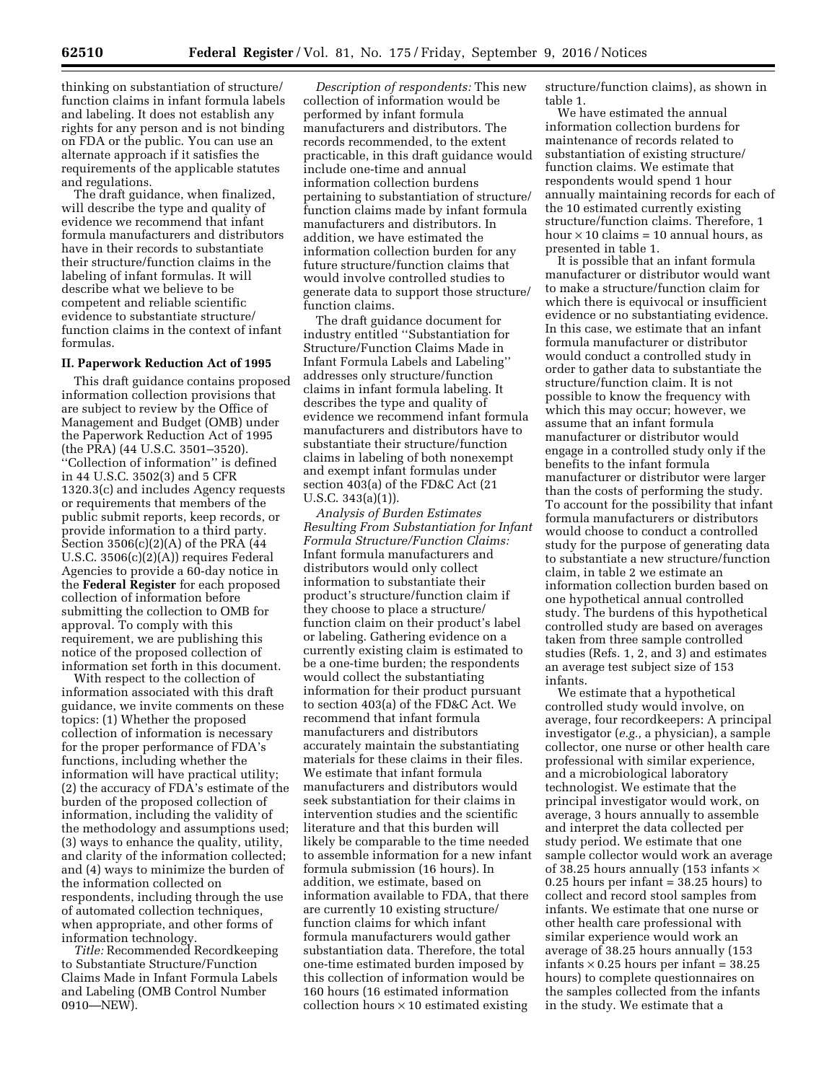thinking on substantiation of structure/ function claims in infant formula labels and labeling. It does not establish any rights for any person and is not binding on FDA or the public. You can use an alternate approach if it satisfies the requirements of the applicable statutes and regulations.

The draft guidance, when finalized, will describe the type and quality of evidence we recommend that infant formula manufacturers and distributors have in their records to substantiate their structure/function claims in the labeling of infant formulas. It will describe what we believe to be competent and reliable scientific evidence to substantiate structure/ function claims in the context of infant formulas.

#### **II. Paperwork Reduction Act of 1995**

This draft guidance contains proposed information collection provisions that are subject to review by the Office of Management and Budget (OMB) under the Paperwork Reduction Act of 1995 (the PRA) (44 U.S.C. 3501–3520). ''Collection of information'' is defined in 44 U.S.C. 3502(3) and 5 CFR 1320.3(c) and includes Agency requests or requirements that members of the public submit reports, keep records, or provide information to a third party. Section 3506(c)(2)(A) of the PRA (44 U.S.C. 3506(c)(2)(A)) requires Federal Agencies to provide a 60-day notice in the **Federal Register** for each proposed collection of information before submitting the collection to OMB for approval. To comply with this requirement, we are publishing this notice of the proposed collection of information set forth in this document.

With respect to the collection of information associated with this draft guidance, we invite comments on these topics: (1) Whether the proposed collection of information is necessary for the proper performance of FDA's functions, including whether the information will have practical utility; (2) the accuracy of FDA's estimate of the burden of the proposed collection of information, including the validity of the methodology and assumptions used; (3) ways to enhance the quality, utility, and clarity of the information collected; and (4) ways to minimize the burden of the information collected on respondents, including through the use of automated collection techniques, when appropriate, and other forms of information technology.

*Title:* Recommended Recordkeeping to Substantiate Structure/Function Claims Made in Infant Formula Labels and Labeling (OMB Control Number 0910—NEW).

*Description of respondents:* This new collection of information would be performed by infant formula manufacturers and distributors. The records recommended, to the extent practicable, in this draft guidance would include one-time and annual information collection burdens pertaining to substantiation of structure/ function claims made by infant formula manufacturers and distributors. In addition, we have estimated the information collection burden for any future structure/function claims that would involve controlled studies to generate data to support those structure/ function claims.

The draft guidance document for industry entitled ''Substantiation for Structure/Function Claims Made in Infant Formula Labels and Labeling'' addresses only structure/function claims in infant formula labeling. It describes the type and quality of evidence we recommend infant formula manufacturers and distributors have to substantiate their structure/function claims in labeling of both nonexempt and exempt infant formulas under section 403(a) of the FD&C Act (21 U.S.C. 343(a)(1)).

*Analysis of Burden Estimates Resulting From Substantiation for Infant Formula Structure/Function Claims:*  Infant formula manufacturers and distributors would only collect information to substantiate their product's structure/function claim if they choose to place a structure/ function claim on their product's label or labeling. Gathering evidence on a currently existing claim is estimated to be a one-time burden; the respondents would collect the substantiating information for their product pursuant to section 403(a) of the FD&C Act. We recommend that infant formula manufacturers and distributors accurately maintain the substantiating materials for these claims in their files. We estimate that infant formula manufacturers and distributors would seek substantiation for their claims in intervention studies and the scientific literature and that this burden will likely be comparable to the time needed to assemble information for a new infant formula submission (16 hours). In addition, we estimate, based on information available to FDA, that there are currently 10 existing structure/ function claims for which infant formula manufacturers would gather substantiation data. Therefore, the total one-time estimated burden imposed by this collection of information would be 160 hours (16 estimated information collection hours  $\times$  10 estimated existing

structure/function claims), as shown in table 1.

We have estimated the annual information collection burdens for maintenance of records related to substantiation of existing structure/ function claims. We estimate that respondents would spend 1 hour annually maintaining records for each of the 10 estimated currently existing structure/function claims. Therefore, 1 hour  $\times$  10 claims = 10 annual hours, as presented in table 1.

It is possible that an infant formula manufacturer or distributor would want to make a structure/function claim for which there is equivocal or insufficient evidence or no substantiating evidence. In this case, we estimate that an infant formula manufacturer or distributor would conduct a controlled study in order to gather data to substantiate the structure/function claim. It is not possible to know the frequency with which this may occur; however, we assume that an infant formula manufacturer or distributor would engage in a controlled study only if the benefits to the infant formula manufacturer or distributor were larger than the costs of performing the study. To account for the possibility that infant formula manufacturers or distributors would choose to conduct a controlled study for the purpose of generating data to substantiate a new structure/function claim, in table 2 we estimate an information collection burden based on one hypothetical annual controlled study. The burdens of this hypothetical controlled study are based on averages taken from three sample controlled studies (Refs. 1, 2, and 3) and estimates an average test subject size of 153 infants.

We estimate that a hypothetical controlled study would involve, on average, four recordkeepers: A principal investigator (*e.g.,* a physician), a sample collector, one nurse or other health care professional with similar experience, and a microbiological laboratory technologist. We estimate that the principal investigator would work, on average, 3 hours annually to assemble and interpret the data collected per study period. We estimate that one sample collector would work an average of 38.25 hours annually (153 infants  $\times$ 0.25 hours per infant = 38.25 hours) to collect and record stool samples from infants. We estimate that one nurse or other health care professional with similar experience would work an average of 38.25 hours annually (153 infants  $\times$  0.25 hours per infant = 38.25 hours) to complete questionnaires on the samples collected from the infants in the study. We estimate that a